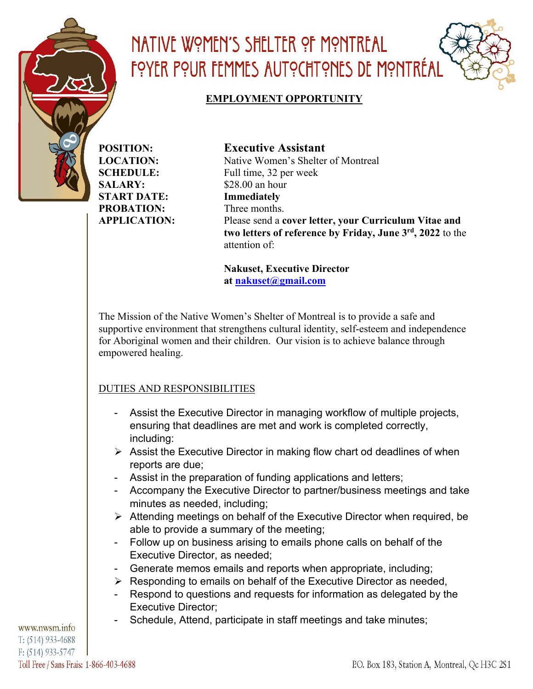

### NATIVE WOMEN'S SHELTER OF MONTREAL FOYER POUR FEMMES AUTOCHTONES DE MONTRÉAL

#### **EMPLOYMENT OPPORTUNITY**

**POSITION: Executive Assistant SALARY:** \$28.00 an hour **START DATE: Immediately PROBATION:** Three months.

**LOCATION:** Native Women's Shelter of Montreal **SCHEDULE:** Full time, 32 per week **APPLICATION:** Please send a **cover letter, your Curriculum Vitae and two letters of reference by Friday, June 3rd, 2022** to the attention of:

> **Nakuset, Executive Director at nakuset@gmail.com**

The Mission of the Native Women's Shelter of Montreal is to provide a safe and supportive environment that strengthens cultural identity, self-esteem and independence for Aboriginal women and their children. Our vision is to achieve balance through empowered healing.

#### DUTIES AND RESPONSIBILITIES

- Assist the Executive Director in managing workflow of multiple projects, ensuring that deadlines are met and work is completed correctly, including:
- $\triangleright$  Assist the Executive Director in making flow chart od deadlines of when reports are due;
- Assist in the preparation of funding applications and letters;
- Accompany the Executive Director to partner/business meetings and take minutes as needed, including;
- $\triangleright$  Attending meetings on behalf of the Executive Director when required, be able to provide a summary of the meeting;
- Follow up on business arising to emails phone calls on behalf of the Executive Director, as needed;
- Generate memos emails and reports when appropriate, including;
- $\triangleright$  Responding to emails on behalf of the Executive Director as needed,
- Respond to questions and requests for information as delegated by the Executive Director;
- Schedule, Attend, participate in staff meetings and take minutes;

www.nwsm.info  $T: (514) 933 - 4688$  $F: (514) 933 - 5747$ Toll Free / Sans Frais: 1-866-403-4688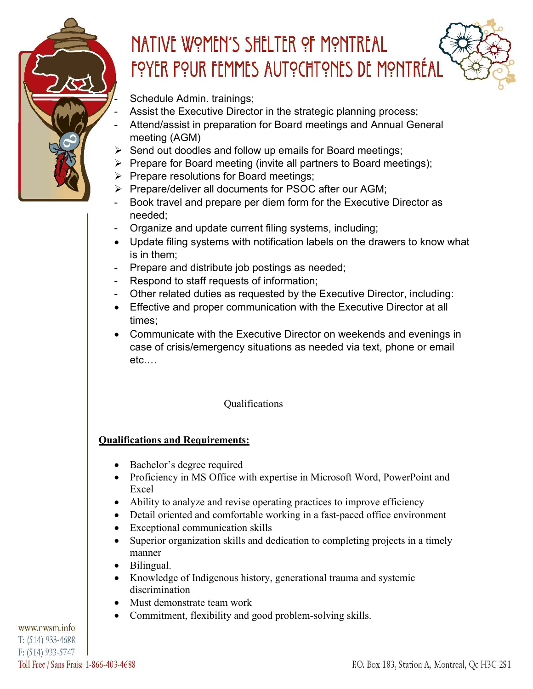

## NATIVE WOMEN'S SHELTER OF MONTREAL FOYER POUR FEMMES AUTOCHTONES DE MONTRÉAL

Schedule Admin. trainings;

- Assist the Executive Director in the strategic planning process;
- Attend/assist in preparation for Board meetings and Annual General meeting (AGM)
- $\triangleright$  Send out doodles and follow up emails for Board meetings;
- $\triangleright$  Prepare for Board meeting (invite all partners to Board meetings);
- $\triangleright$  Prepare resolutions for Board meetings;
- Ø Prepare/deliver all documents for PSOC after our AGM;
- Book travel and prepare per diem form for the Executive Director as needed;
- Organize and update current filing systems, including;
- Update filing systems with notification labels on the drawers to know what is in them;
- Prepare and distribute job postings as needed;
- Respond to staff requests of information;
- Other related duties as requested by the Executive Director, including:
- Effective and proper communication with the Executive Director at all times;
- Communicate with the Executive Director on weekends and evenings in case of crisis/emergency situations as needed via text, phone or email etc.…

### Qualifications

### **Qualifications and Requirements:**

- Bachelor's degree required
- Proficiency in MS Office with expertise in Microsoft Word, PowerPoint and Excel
- Ability to analyze and revise operating practices to improve efficiency
- Detail oriented and comfortable working in a fast-paced office environment
- Exceptional communication skills
- Superior organization skills and dedication to completing projects in a timely manner
- Bilingual.
- Knowledge of Indigenous history, generational trauma and systemic discrimination
- Must demonstrate team work
- Commitment, flexibility and good problem-solving skills.

www.nwsm.info T: (514) 933-4688  $F: (514)$  933-5747 Toll Free / Sans Frais: 1-866-403-4688